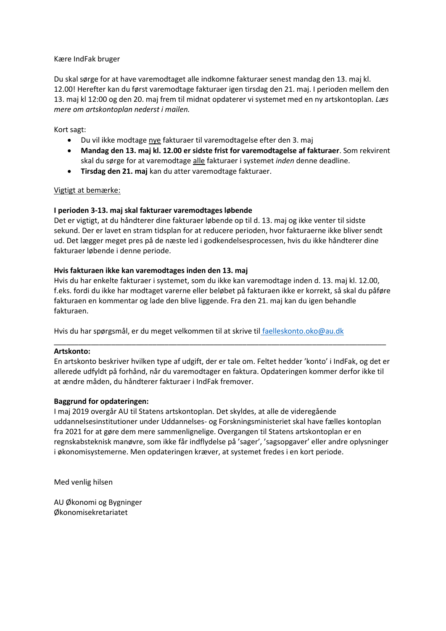#### Kære IndFak bruger

Du skal sørge for at have varemodtaget alle indkomne fakturaer senest mandag den 13. maj kl. 12.00! Herefter kan du først varemodtage fakturaer igen tirsdag den 21. maj. I perioden mellem den 13. maj kl 12:00 og den 20. maj frem til midnat opdaterer vi systemet med en ny artskontoplan*. Læs mere om artskontoplan nederst i mailen.*

Kort sagt:

- Du vil ikke modtage nye fakturaer til varemodtagelse efter den 3. maj
- **Mandag den 13. maj kl. 12.00 er sidste frist for varemodtagelse af fakturaer**. Som rekvirent skal du sørge for at varemodtage alle fakturaer i systemet *inden* denne deadline.
- **Tirsdag den 21. maj** kan du atter varemodtage fakturaer.

# Vigtigt at bemærke:

# **I perioden 3-13. maj skal fakturaer varemodtages løbende**

Det er vigtigt, at du håndterer dine fakturaer løbende op til d. 13. maj og ikke venter til sidste sekund. Der er lavet en stram tidsplan for at reducere perioden, hvor fakturaerne ikke bliver sendt ud. Det lægger meget pres på de næste led i godkendelsesprocessen, hvis du ikke håndterer dine fakturaer løbende i denne periode.

#### **Hvis fakturaen ikke kan varemodtages inden den 13. maj**

Hvis du har enkelte fakturaer i systemet, som du ikke kan varemodtage inden d. 13. maj kl. 12.00, f.eks. fordi du ikke har modtaget varerne eller beløbet på fakturaen ikke er korrekt, så skal du påføre fakturaen en kommentar og lade den blive liggende. Fra den 21. maj kan du igen behandle fakturaen.

Hvis du har spørgsmål, er du meget velkommen til at skrive til [faelleskonto.oko@au.dk](mailto:faelleskonto.oko@au.dk)

#### **Artskonto:**

En artskonto beskriver hvilken type af udgift, der er tale om. Feltet hedder 'konto' i IndFak, og det er allerede udfyldt på forhånd, når du varemodtager en faktura. Opdateringen kommer derfor ikke til at ændre måden, du håndterer fakturaer i IndFak fremover.

\_\_\_\_\_\_\_\_\_\_\_\_\_\_\_\_\_\_\_\_\_\_\_\_\_\_\_\_\_\_\_\_\_\_\_\_\_\_\_\_\_\_\_\_\_\_\_\_\_\_\_\_\_\_\_\_\_\_\_\_\_\_\_\_\_\_\_\_\_\_\_\_\_\_\_\_\_\_\_\_\_

# **Baggrund for opdateringen:**

I maj 2019 overgår AU til Statens artskontoplan. Det skyldes, at alle de videregående uddannelsesinstitutioner under Uddannelses- og Forskningsministeriet skal have fælles kontoplan fra 2021 for at gøre dem mere sammenlignelige. Overgangen til Statens artskontoplan er en regnskabsteknisk manøvre, som ikke får indflydelse på 'sager', 'sagsopgaver' eller andre oplysninger i økonomisystemerne. Men opdateringen kræver, at systemet fredes i en kort periode.

Med venlig hilsen

AU Økonomi og Bygninger Økonomisekretariatet